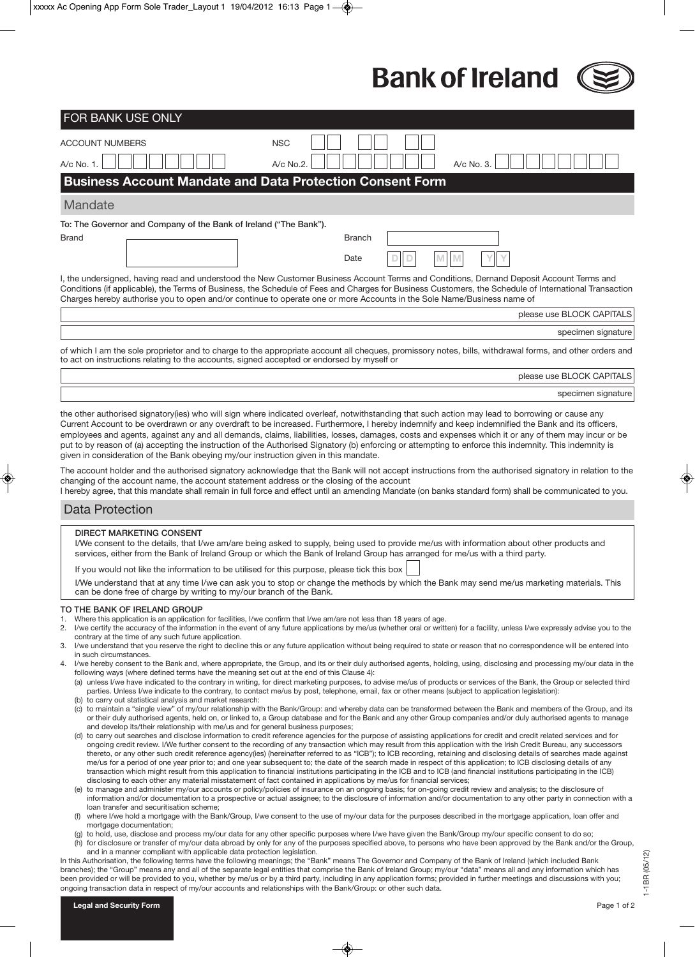**Bank of Ireland** 

(e) to manage and administer my/our accounts or policy/policies of insurance on an ongoing basis; for on-going credit review and analysis; to the disclosure of information and/or documentation to a prospective or actual assignee; to the disclosure of information and/or documentation to any other party in connection with a loan transfer and securitisation scheme;

- (f) where I/we hold a mortgage with the Bank/Group, I/we consent to the use of my/our data for the purposes described in the mortgage application, loan offer and mortgage documentation;
- (g) to hold, use, disclose and process my/our data for any other specific purposes where I/we have given the Bank/Group my/our specific consent to do so; (h) for disclosure or transfer of my/our data abroad by only for any of the purposes specified above, to persons who have been approved by the Bank and/or the Group, and in a manner compliant with applicable data protection legislation.

In this Authorisation, the following terms have the following meanings; the "Bank" means The Governor and Company of the Bank of Ireland (which included Bank branches); the "Group" means any and all of the separate legal entities that comprise the Bank of Ireland Group; my/our "data" means all and any information which has been provided or will be provided to you, whether by me/us or by a third party, including in any application forms; provided in further meetings and discussions with you; ongoing transaction data in respect of my/our accounts and relationships with the Bank/Group: or other such data.

1-1BR (05/12)

 $1 - 1$ BR  $(05/12)$